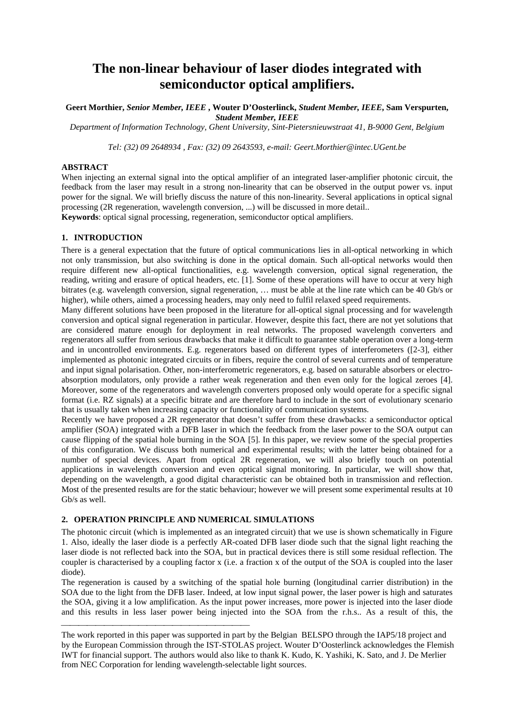# **The non-linear behaviour of laser diodes integrated with semiconductor optical amplifiers.**

**Geert Morthier,** *Senior Member, IEEE* **, Wouter D'Oosterlinck,** *Student Member, IEEE***, Sam Verspurten,**  *Student Member, IEEE*

*Department of Information Technology, Ghent University, Sint-Pietersnieuwstraat 41, B-9000 Gent, Belgium*

*Tel: (32) 09 2648934 , Fax: (32) 09 2643593, e-mail: Geert.Morthier@intec.UGent.be* 

#### **ABSTRACT**

When injecting an external signal into the optical amplifier of an integrated laser-amplifier photonic circuit, the feedback from the laser may result in a strong non-linearity that can be observed in the output power vs. input power for the signal. We will briefly discuss the nature of this non-linearity. Several applications in optical signal processing (2R regeneration, wavelength conversion, ...) will be discussed in more detail.. **Keywords**: optical signal processing, regeneration, semiconductor optical amplifiers.

#### **1. INTRODUCTION**

There is a general expectation that the future of optical communications lies in all-optical networking in which not only transmission, but also switching is done in the optical domain. Such all-optical networks would then require different new all-optical functionalities, e.g. wavelength conversion, optical signal regeneration, the reading, writing and erasure of optical headers, etc. [1]. Some of these operations will have to occur at very high bitrates (e.g. wavelength conversion, signal regeneration, … must be able at the line rate which can be 40 Gb/s or higher), while others, aimed a processing headers, may only need to fulfil relaxed speed requirements.

Many different solutions have been proposed in the literature for all-optical signal processing and for wavelength conversion and optical signal regeneration in particular. However, despite this fact, there are not yet solutions that are considered mature enough for deployment in real networks. The proposed wavelength converters and regenerators all suffer from serious drawbacks that make it difficult to guarantee stable operation over a long-term and in uncontrolled environments. E.g. regenerators based on different types of interferometers ([2-3], either implemented as photonic integrated circuits or in fibers, require the control of several currents and of temperature and input signal polarisation. Other, non-interferometric regenerators, e.g. based on saturable absorbers or electroabsorption modulators, only provide a rather weak regeneration and then even only for the logical zeroes [4]. Moreover, some of the regenerators and wavelength converters proposed only would operate for a specific signal format (i.e. RZ signals) at a specific bitrate and are therefore hard to include in the sort of evolutionary scenario that is usually taken when increasing capacity or functionality of communication systems.

Recently we have proposed a 2R regenerator that doesn't suffer from these drawbacks: a semiconductor optical amplifier (SOA) integrated with a DFB laser in which the feedback from the laser power to the SOA output can cause flipping of the spatial hole burning in the SOA [5]. In this paper, we review some of the special properties of this configuration. We discuss both numerical and experimental results; with the latter being obtained for a number of special devices. Apart from optical 2R regeneration, we will also briefly touch on potential applications in wavelength conversion and even optical signal monitoring. In particular, we will show that, depending on the wavelength, a good digital characteristic can be obtained both in transmission and reflection. Most of the presented results are for the static behaviour; however we will present some experimental results at 10 Gb/s as well.

#### **2. OPERATION PRINCIPLE AND NUMERICAL SIMULATIONS**

⎯⎯⎯⎯⎯⎯⎯⎯⎯⎯⎯⎯⎯⎯⎯⎯⎯⎯⎯⎯⎯⎯

The photonic circuit (which is implemented as an integrated circuit) that we use is shown schematically in Figure 1. Also, ideally the laser diode is a perfectly AR-coated DFB laser diode such that the signal light reaching the laser diode is not reflected back into the SOA, but in practical devices there is still some residual reflection. The coupler is characterised by a coupling factor x (i.e. a fraction x of the output of the SOA is coupled into the laser diode).

The regeneration is caused by a switching of the spatial hole burning (longitudinal carrier distribution) in the SOA due to the light from the DFB laser. Indeed, at low input signal power, the laser power is high and saturates the SOA, giving it a low amplification. As the input power increases, more power is injected into the laser diode and this results in less laser power being injected into the SOA from the r.h.s.. As a result of this, the

The work reported in this paper was supported in part by the Belgian BELSPO through the IAP5/18 project and by the European Commission through the IST-STOLAS project. Wouter D'Oosterlinck acknowledges the Flemish IWT for financial support. The authors would also like to thank K. Kudo, K. Yashiki, K. Sato, and J. De Merlier from NEC Corporation for lending wavelength-selectable light sources.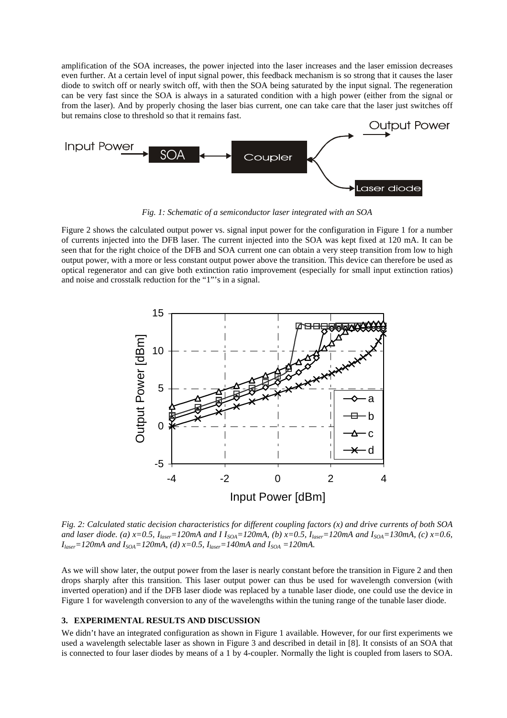amplification of the SOA increases, the power injected into the laser increases and the laser emission decreases even further. At a certain level of input signal power, this feedback mechanism is so strong that it causes the laser diode to switch off or nearly switch off, with then the SOA being saturated by the input signal. The regeneration can be very fast since the SOA is always in a saturated condition with a high power (either from the signal or from the laser). And by properly chosing the laser bias current, one can take care that the laser just switches off but remains close to threshold so that it remains fast.



*Fig. 1: Schematic of a semiconductor laser integrated with an SOA* 

Figure 2 shows the calculated output power vs. signal input power for the configuration in Figure 1 for a number of currents injected into the DFB laser. The current injected into the SOA was kept fixed at 120 mA. It can be seen that for the right choice of the DFB and SOA current one can obtain a very steep transition from low to high output power, with a more or less constant output power above the transition. This device can therefore be used as optical regenerator and can give both extinction ratio improvement (especially for small input extinction ratios) and noise and crosstalk reduction for the "1"'s in a signal.



*Fig. 2: Calculated static decision characteristics for different coupling factors (x) and drive currents of both SOA and laser diode. (a) x=0.5,*  $I_{laser}=120$  *mA and I I<sub>SOA</sub>=120mA, (b) x=0.5,*  $I_{laser}=120$  *mA and I<sub>SOA</sub>=130mA, (c) x=0.6,*  $I_{laser}=120$ mA and  $I_{SOA}=120$ mA, (d)  $x=0.5$ ,  $I_{laser}=140$ mA and  $I_{SOA}=120$ mA.

As we will show later, the output power from the laser is nearly constant before the transition in Figure 2 and then drops sharply after this transition. This laser output power can thus be used for wavelength conversion (with inverted operation) and if the DFB laser diode was replaced by a tunable laser diode, one could use the device in Figure 1 for wavelength conversion to any of the wavelengths within the tuning range of the tunable laser diode.

## **3. EXPERIMENTAL RESULTS AND DISCUSSION**

We didn't have an integrated configuration as shown in Figure 1 available. However, for our first experiments we used a wavelength selectable laser as shown in Figure 3 and described in detail in [8]. It consists of an SOA that is connected to four laser diodes by means of a 1 by 4-coupler. Normally the light is coupled from lasers to SOA.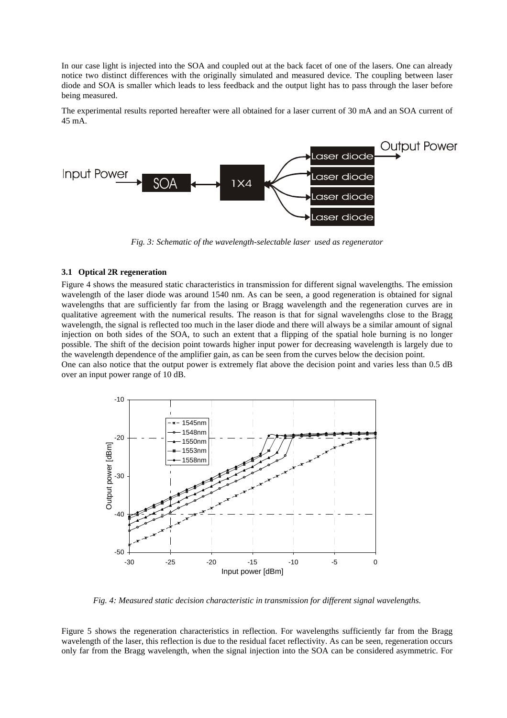In our case light is injected into the SOA and coupled out at the back facet of one of the lasers. One can already notice two distinct differences with the originally simulated and measured device. The coupling between laser diode and SOA is smaller which leads to less feedback and the output light has to pass through the laser before being measured.

The experimental results reported hereafter were all obtained for a laser current of 30 mA and an SOA current of 45 mA.



*Fig. 3: Schematic of the wavelength-selectable laser used as regenerator* 

#### **3.1 Optical 2R regeneration**

Figure 4 shows the measured static characteristics in transmission for different signal wavelengths. The emission wavelength of the laser diode was around 1540 nm. As can be seen, a good regeneration is obtained for signal wavelengths that are sufficiently far from the lasing or Bragg wavelength and the regeneration curves are in qualitative agreement with the numerical results. The reason is that for signal wavelengths close to the Bragg wavelength, the signal is reflected too much in the laser diode and there will always be a similar amount of signal injection on both sides of the SOA, to such an extent that a flipping of the spatial hole burning is no longer possible. The shift of the decision point towards higher input power for decreasing wavelength is largely due to the wavelength dependence of the amplifier gain, as can be seen from the curves below the decision point. One can also notice that the output power is extremely flat above the decision point and varies less than 0.5 dB

over an input power range of 10 dB.



*Fig. 4: Measured static decision characteristic in transmission for different signal wavelengths.* 

Figure 5 shows the regeneration characteristics in reflection. For wavelengths sufficiently far from the Bragg wavelength of the laser, this reflection is due to the residual facet reflectivity. As can be seen, regeneration occurs only far from the Bragg wavelength, when the signal injection into the SOA can be considered asymmetric. For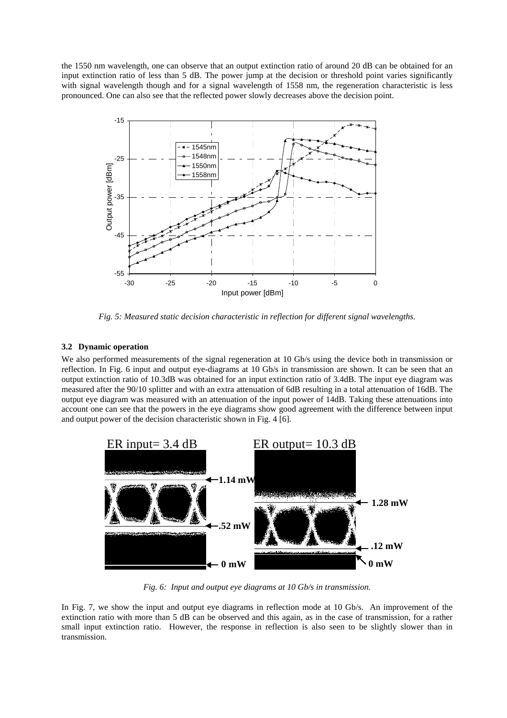the 1550 nm wavelength, one can observe that an output extinction ratio of around 20 dB can be obtained for an input extinction ratio of less than 5 dB. The power jump at the decision or threshold point varies significantly with signal wavelength though and for a signal wavelength of 1558 nm, the regeneration characteristic is less pronounced. One can also see that the reflected power slowly decreases above the decision point.



*Fig. 5: Measured static decision characteristic in reflection for different signal wavelengths.* 

#### **3.2 Dynamic operation**

We also performed measurements of the signal regeneration at 10 Gb/s using the device both in transmission or reflection. In Fig. 6 input and output eye-diagrams at 10 Gb/s in transmission are shown. It can be seen that an output extinction ratio of 10.3dB was obtained for an input extinction ratio of 3.4dB. The input eye diagram was measured after the 90/10 splitter and with an extra attenuation of 6dB resulting in a total attenuation of 16dB. The output eye diagram was measured with an attenuation of the input power of 14dB. Taking these attenuations into account one can see that the powers in the eye diagrams show good agreement with the difference between input and output power of the decision characteristic shown in Fig. 4 [6].



*Fig. 6: Input and output eye diagrams at 10 Gb/s in transmission.* 

In Fig. 7, we show the input and output eye diagrams in reflection mode at 10 Gb/s. An improvement of the extinction ratio with more than 5 dB can be observed and this again, as in the case of transmission, for a rather small input extinction ratio. However, the response in reflection is also seen to be slightly slower than in transmission.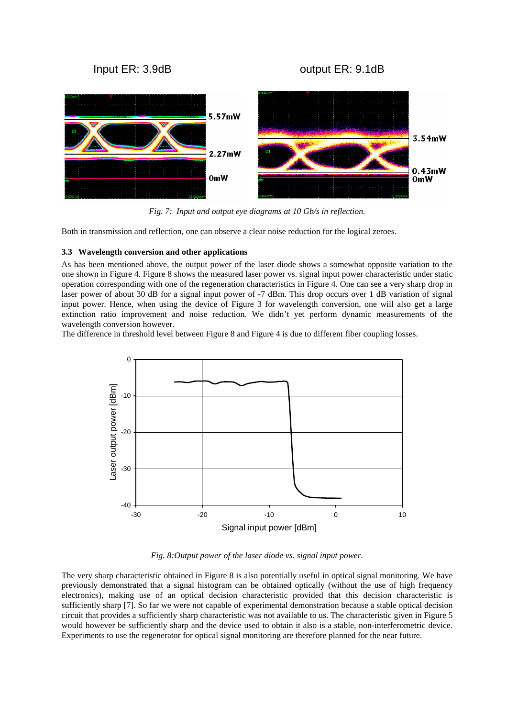Input ER: 3.9dB output ER: 9.1dB



*Fig. 7: Input and output eye diagrams at 10 Gb/s in reflection.* 

Both in transmission and reflection, one can observe a clear noise reduction for the logical zeroes.

## **3.3 Wavelength conversion and other applications**

As has been mentioned above, the output power of the laser diode shows a somewhat opposite variation to the one shown in Figure 4. Figure 8 shows the measured laser power vs. signal input power characteristic under static operation corresponding with one of the regeneration characteristics in Figure 4. One can see a very sharp drop in laser power of about 30 dB for a signal input power of -7 dBm. This drop occurs over 1 dB variation of signal input power. Hence, when using the device of Figure 3 for wavelength conversion, one will also get a large extinction ratio improvement and noise reduction. We didn't yet perform dynamic measurements of the wavelength conversion however.

The difference in threshold level between Figure 8 and Figure 4 is due to different fiber coupling losses.



*Fig. 8:Output power of the laser diode vs. signal input power.* 

The very sharp characteristic obtained in Figure 8 is also potentially useful in optical signal monitoring. We have previously demonstrated that a signal histogram can be obtained optically (without the use of high frequency electronics), making use of an optical decision characteristic provided that this decision characteristic is sufficiently sharp [7]. So far we were not capable of experimental demonstration because a stable optical decision circuit that provides a sufficiently sharp characteristic was not available to us. The characteristic given in Figure 5 would however be sufficiently sharp and the device used to obtain it also is a stable, non-interferometric device. Experiments to use the regenerator for optical signal monitoring are therefore planned for the near future.